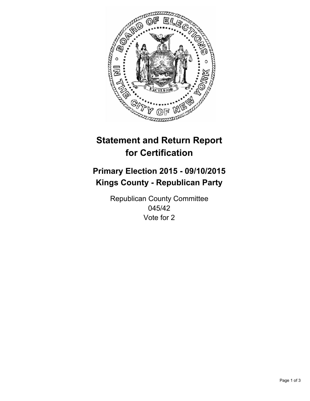

# **Statement and Return Report for Certification**

## **Primary Election 2015 - 09/10/2015 Kings County - Republican Party**

Republican County Committee 045/42 Vote for 2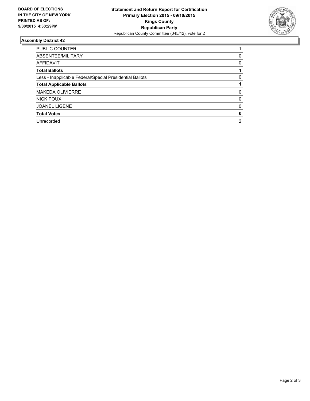

#### **Assembly District 42**

| <b>PUBLIC COUNTER</b>                                    |   |
|----------------------------------------------------------|---|
| ABSENTEE/MILITARY                                        | 0 |
| AFFIDAVIT                                                | 0 |
| <b>Total Ballots</b>                                     |   |
| Less - Inapplicable Federal/Special Presidential Ballots | 0 |
| <b>Total Applicable Ballots</b>                          |   |
| <b>MAKEDA OLIVIERRE</b>                                  | 0 |
| NICK POUX                                                | 0 |
| <b>JOANEL LIGENE</b>                                     | 0 |
| <b>Total Votes</b>                                       | 0 |
| Unrecorded                                               | 2 |